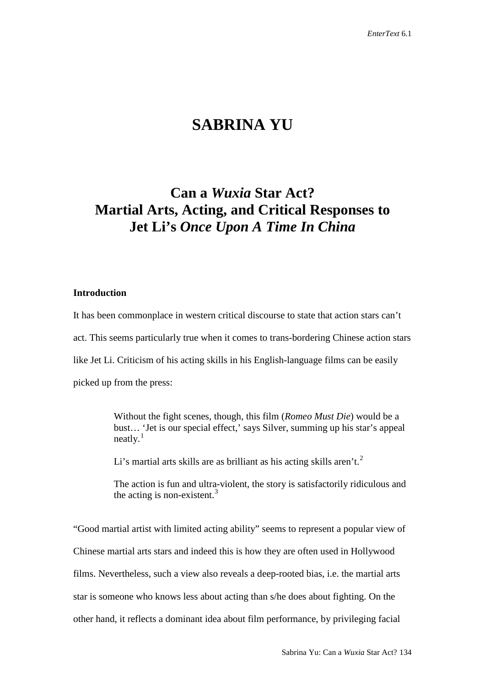# **SABRINA YU**

## **Can a** *Wuxia* **Star Act? Martial Arts, Acting, and Critical Responses to Jet Li's** *Once Upon A Time In China*

#### **Introduction**

It has been commonplace in western critical discourse to state that action stars can't act. This seems particularly true when it comes to trans-bordering Chinese action stars like Jet Li. Criticism of his acting skills in his English-language films can be easily picked up from the press:

> Without the fight scenes, though, this film (*Romeo Must Die*) would be a bust… 'Jet is our special effect,' says Silver, summing up his star's appeal  $neatlv.<sup>1</sup>$  $neatlv.<sup>1</sup>$  $neatlv.<sup>1</sup>$

Li's martial arts skills are as brilliant as his acting skills aren't.<sup>[2](#page-23-1)</sup>

The action is fun and ultra-violent, the story is satisfactorily ridiculous and the acting is non-existent.<sup>[3](#page-23-2)</sup>

"Good martial artist with limited acting ability" seems to represent a popular view of Chinese martial arts stars and indeed this is how they are often used in Hollywood films. Nevertheless, such a view also reveals a deep-rooted bias, i.e. the martial arts star is someone who knows less about acting than s/he does about fighting. On the other hand, it reflects a dominant idea about film performance, by privileging facial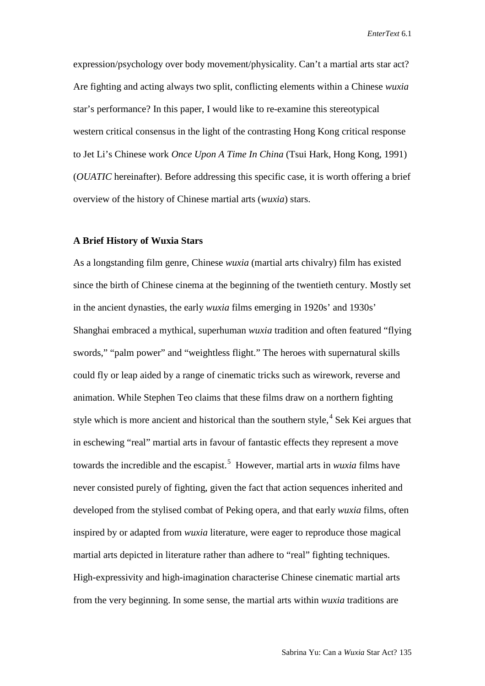expression/psychology over body movement/physicality. Can't a martial arts star act? Are fighting and acting always two split, conflicting elements within a Chinese *wuxia* star's performance? In this paper, I would like to re-examine this stereotypical western critical consensus in the light of the contrasting Hong Kong critical response to Jet Li's Chinese work *Once Upon A Time In China* (Tsui Hark, Hong Kong, 1991) (*OUATIC* hereinafter). Before addressing this specific case, it is worth offering a brief overview of the history of Chinese martial arts (*wuxia*) stars.

### **A Brief History of Wuxia Stars**

As a longstanding film genre, Chinese *wuxia* (martial arts chivalry) film has existed since the birth of Chinese cinema at the beginning of the twentieth century. Mostly set in the ancient dynasties, the early *wuxia* films emerging in 1920s' and 1930s' Shanghai embraced a mythical, superhuman *wuxia* tradition and often featured "flying swords," "palm power" and "weightless flight." The heroes with supernatural skills could fly or leap aided by a range of cinematic tricks such as wirework, reverse and animation. While Stephen Teo claims that these films draw on a northern fighting style which is more ancient and historical than the southern style,  $4$  Sek Kei argues that in eschewing "real" martial arts in favour of fantastic effects they represent a move towards the incredible and the escapist.<sup>[5](#page-24-1)</sup> However, martial arts in *wuxia* films have never consisted purely of fighting, given the fact that action sequences inherited and developed from the stylised combat of Peking opera, and that early *wuxia* films, often inspired by or adapted from *wuxia* literature, were eager to reproduce those magical martial arts depicted in literature rather than adhere to "real" fighting techniques. High-expressivity and high-imagination characterise Chinese cinematic martial arts from the very beginning. In some sense, the martial arts within *wuxia* traditions are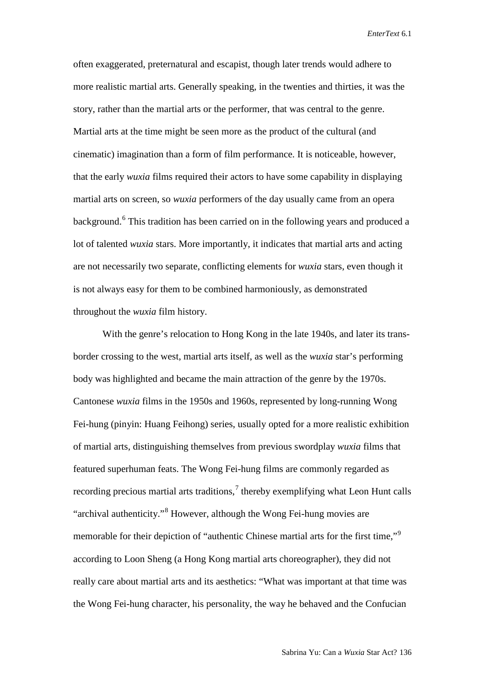often exaggerated, preternatural and escapist, though later trends would adhere to more realistic martial arts. Generally speaking, in the twenties and thirties, it was the story, rather than the martial arts or the performer, that was central to the genre. Martial arts at the time might be seen more as the product of the cultural (and cinematic) imagination than a form of film performance. It is noticeable, however, that the early *wuxia* films required their actors to have some capability in displaying martial arts on screen, so *wuxia* performers of the day usually came from an opera background. [6](#page-24-2) This tradition has been carried on in the following years and produced a lot of talented *wuxia* stars. More importantly, it indicates that martial arts and acting are not necessarily two separate, conflicting elements for *wuxia* stars, even though it is not always easy for them to be combined harmoniously, as demonstrated throughout the *wuxia* film history.

With the genre's relocation to Hong Kong in the late 1940s, and later its transborder crossing to the west, martial arts itself, as well as the *wuxia* star's performing body was highlighted and became the main attraction of the genre by the 1970s. Cantonese *wuxia* films in the 1950s and 1960s, represented by long-running Wong Fei-hung (pinyin: Huang Feihong) series, usually opted for a more realistic exhibition of martial arts, distinguishing themselves from previous swordplay *wuxia* films that featured superhuman feats. The Wong Fei-hung films are commonly regarded as recording precious martial arts traditions, $\frac{7}{1}$  $\frac{7}{1}$  $\frac{7}{1}$  thereby exemplifying what Leon Hunt calls "archival authenticity."[8](#page-24-4) However, although the Wong Fei-hung movies are memorable for their depiction of "authentic Chinese martial arts for the first time,"<sup>[9](#page-24-5)</sup> according to Loon Sheng (a Hong Kong martial arts choreographer), they did not really care about martial arts and its aesthetics: "What was important at that time was the Wong Fei-hung character, his personality, the way he behaved and the Confucian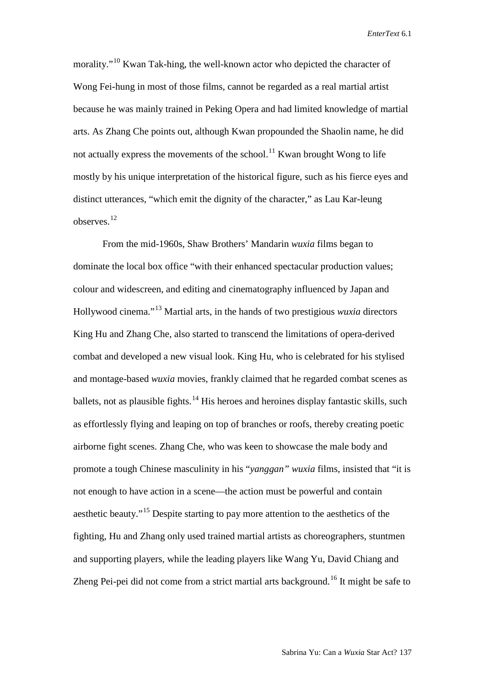morality."<sup>[10](#page-24-6)</sup> Kwan Tak-hing, the well-known actor who depicted the character of Wong Fei-hung in most of those films, cannot be regarded as a real martial artist because he was mainly trained in Peking Opera and had limited knowledge of martial arts. As Zhang Che points out, although Kwan propounded the Shaolin name, he did not actually express the movements of the school.<sup>[11](#page-24-7)</sup> Kwan brought Wong to life mostly by his unique interpretation of the historical figure, such as his fierce eyes and distinct utterances, "which emit the dignity of the character," as Lau Kar-leung observes.[12](#page-24-8)

From the mid-1960s, Shaw Brothers' Mandarin *wuxia* films began to dominate the local box office "with their enhanced spectacular production values; colour and widescreen, and editing and cinematography influenced by Japan and Hollywood cinema."[13](#page-24-9) Martial arts, in the hands of two prestigious *wuxia* directors King Hu and Zhang Che, also started to transcend the limitations of opera-derived combat and developed a new visual look. King Hu, who is celebrated for his stylised and montage-based *wuxia* movies, frankly claimed that he regarded combat scenes as ballets, not as plausible fights.<sup>[14](#page-24-10)</sup> His heroes and heroines display fantastic skills, such as effortlessly flying and leaping on top of branches or roofs, thereby creating poetic airborne fight scenes. Zhang Che, who was keen to showcase the male body and promote a tough Chinese masculinity in his "*yanggan" wuxia* films, insisted that "it is not enough to have action in a scene—the action must be powerful and contain aesthetic beauty."[15](#page-24-11) Despite starting to pay more attention to the aesthetics of the fighting, Hu and Zhang only used trained martial artists as choreographers, stuntmen and supporting players, while the leading players like Wang Yu, David Chiang and Zheng Pei-pei did not come from a strict martial arts background.<sup>[16](#page-24-12)</sup> It might be safe to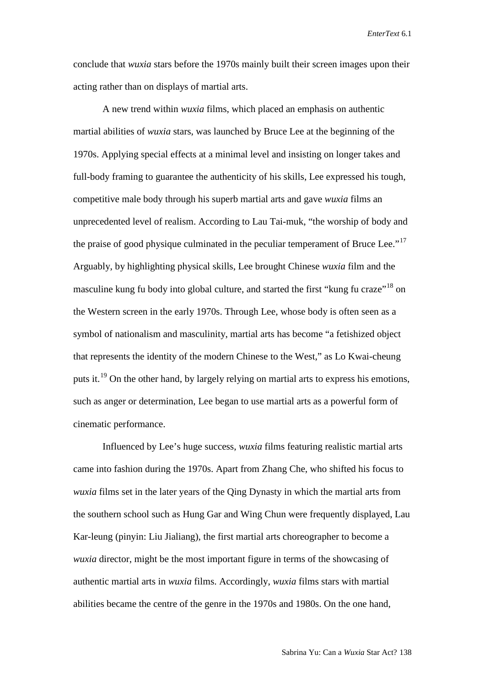conclude that *wuxia* stars before the 1970s mainly built their screen images upon their acting rather than on displays of martial arts.

A new trend within *wuxia* films, which placed an emphasis on authentic martial abilities of *wuxia* stars, was launched by Bruce Lee at the beginning of the 1970s. Applying special effects at a minimal level and insisting on longer takes and full-body framing to guarantee the authenticity of his skills, Lee expressed his tough, competitive male body through his superb martial arts and gave *wuxia* films an unprecedented level of realism. According to Lau Tai-muk, "the worship of body and the praise of good physique culminated in the peculiar temperament of Bruce Lee."<sup>[17](#page-24-13)</sup> Arguably, by highlighting physical skills, Lee brought Chinese *wuxia* film and the masculine kung fu body into global culture, and started the first "kung fu craze"<sup>[18](#page-24-14)</sup> on the Western screen in the early 1970s. Through Lee, whose body is often seen as a symbol of nationalism and masculinity, martial arts has become "a fetishized object that represents the identity of the modern Chinese to the West," as Lo Kwai-cheung puts it.<sup>[19](#page-24-15)</sup> On the other hand, by largely relying on martial arts to express his emotions, such as anger or determination, Lee began to use martial arts as a powerful form of cinematic performance.

Influenced by Lee's huge success, *wuxia* films featuring realistic martial arts came into fashion during the 1970s. Apart from Zhang Che, who shifted his focus to *wuxia* films set in the later years of the Qing Dynasty in which the martial arts from the southern school such as Hung Gar and Wing Chun were frequently displayed, Lau Kar-leung (pinyin: Liu Jialiang), the first martial arts choreographer to become a *wuxia* director, might be the most important figure in terms of the showcasing of authentic martial arts in *wuxia* films. Accordingly, *wuxia* films stars with martial abilities became the centre of the genre in the 1970s and 1980s. On the one hand,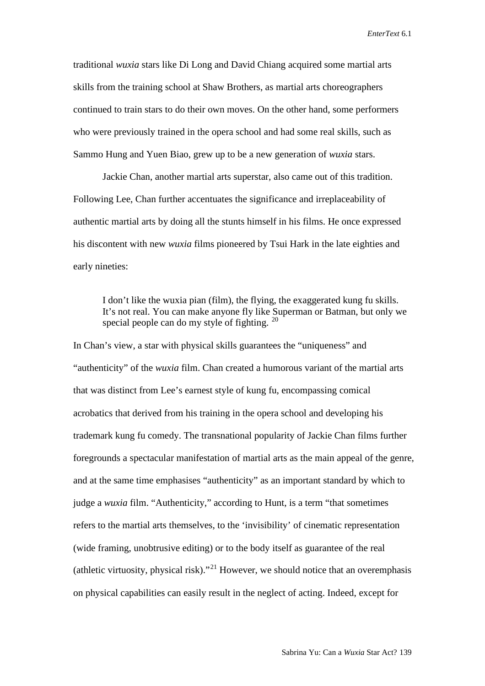traditional *wuxia* stars like Di Long and David Chiang acquired some martial arts skills from the training school at Shaw Brothers, as martial arts choreographers continued to train stars to do their own moves. On the other hand, some performers who were previously trained in the opera school and had some real skills, such as Sammo Hung and Yuen Biao, grew up to be a new generation of *wuxia* stars.

Jackie Chan, another martial arts superstar, also came out of this tradition. Following Lee, Chan further accentuates the significance and irreplaceability of authentic martial arts by doing all the stunts himself in his films. He once expressed his discontent with new *wuxia* films pioneered by Tsui Hark in the late eighties and early nineties:

I don't like the wuxia pian (film), the flying, the exaggerated kung fu skills. It's not real. You can make anyone fly like Superman or Batman, but only we special people can do my style of fighting. <sup>[20](#page-24-16)</sup>

In Chan's view, a star with physical skills guarantees the "uniqueness" and "authenticity" of the *wuxia* film. Chan created a humorous variant of the martial arts that was distinct from Lee's earnest style of kung fu, encompassing comical acrobatics that derived from his training in the opera school and developing his trademark kung fu comedy. The transnational popularity of Jackie Chan films further foregrounds a spectacular manifestation of martial arts as the main appeal of the genre, and at the same time emphasises "authenticity" as an important standard by which to judge a *wuxia* film. "Authenticity," according to Hunt, is a term "that sometimes refers to the martial arts themselves, to the 'invisibility' of cinematic representation (wide framing, unobtrusive editing) or to the body itself as guarantee of the real (athletic virtuosity, physical risk)."<sup>[21](#page-24-17)</sup> However, we should notice that an overemphasis on physical capabilities can easily result in the neglect of acting. Indeed, except for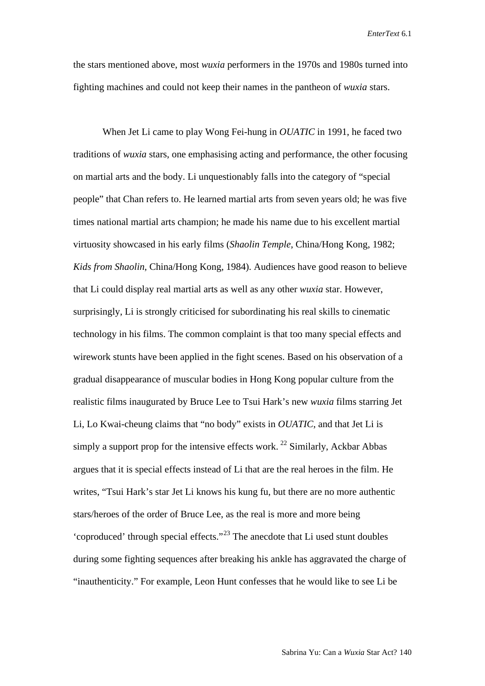the stars mentioned above, most *wuxia* performers in the 1970s and 1980s turned into fighting machines and could not keep their names in the pantheon of *wuxia* stars.

When Jet Li came to play Wong Fei-hung in *OUATIC* in 1991, he faced two traditions of *wuxia* stars, one emphasising acting and performance, the other focusing on martial arts and the body. Li unquestionably falls into the category of "special people" that Chan refers to. He learned martial arts from seven years old; he was five times national martial arts champion; he made his name due to his excellent martial virtuosity showcased in his early films (*Shaolin Temple*, China/Hong Kong, 1982; *Kids from Shaolin*, China/Hong Kong, 1984). Audiences have good reason to believe that Li could display real martial arts as well as any other *wuxia* star. However, surprisingly, Li is strongly criticised for subordinating his real skills to cinematic technology in his films. The common complaint is that too many special effects and wirework stunts have been applied in the fight scenes. Based on his observation of a gradual disappearance of muscular bodies in Hong Kong popular culture from the realistic films inaugurated by Bruce Lee to Tsui Hark's new *wuxia* films starring Jet Li, Lo Kwai-cheung claims that "no body" exists in *OUATIC*, and that Jet Li is simply a support prop for the intensive effects work.  $^{22}$  $^{22}$  $^{22}$  Similarly, Ackbar Abbas argues that it is special effects instead of Li that are the real heroes in the film. He writes, "Tsui Hark's star Jet Li knows his kung fu, but there are no more authentic stars/heroes of the order of Bruce Lee, as the real is more and more being 'coproduced' through special effects."[23](#page-24-19) The anecdote that Li used stunt doubles during some fighting sequences after breaking his ankle has aggravated the charge of "inauthenticity." For example, Leon Hunt confesses that he would like to see Li be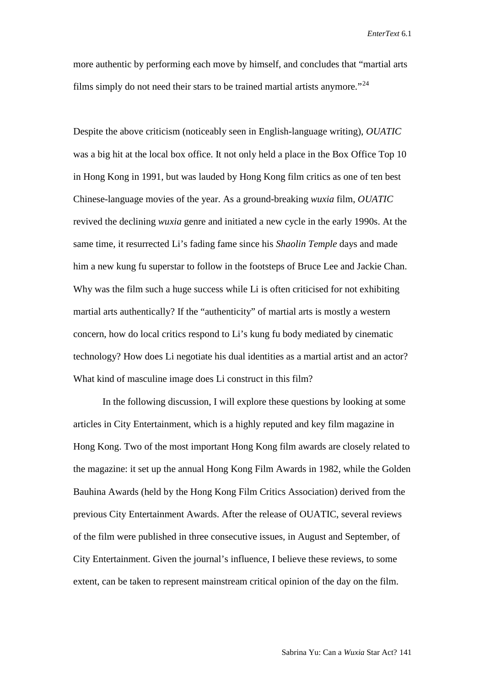more authentic by performing each move by himself, and concludes that "martial arts films simply do not need their stars to be trained martial artists anymore.<sup> $24$ </sup>

Despite the above criticism (noticeably seen in English-language writing), *OUATIC* was a big hit at the local box office. It not only held a place in the Box Office Top 10 in Hong Kong in 1991, but was lauded by Hong Kong film critics as one of ten best Chinese-language movies of the year. As a ground-breaking *wuxia* film, *OUATIC* revived the declining *wuxia* genre and initiated a new cycle in the early 1990s. At the same time, it resurrected Li's fading fame since his *Shaolin Temple* days and made him a new kung fu superstar to follow in the footsteps of Bruce Lee and Jackie Chan. Why was the film such a huge success while Li is often criticised for not exhibiting martial arts authentically? If the "authenticity" of martial arts is mostly a western concern, how do local critics respond to Li's kung fu body mediated by cinematic technology? How does Li negotiate his dual identities as a martial artist and an actor? What kind of masculine image does Li construct in this film?

In the following discussion, I will explore these questions by looking at some articles in City Entertainment, which is a highly reputed and key film magazine in Hong Kong. Two of the most important Hong Kong film awards are closely related to the magazine: it set up the annual Hong Kong Film Awards in 1982, while the Golden Bauhina Awards (held by the Hong Kong Film Critics Association) derived from the previous City Entertainment Awards. After the release of OUATIC, several reviews of the film were published in three consecutive issues, in August and September, of City Entertainment. Given the journal's influence, I believe these reviews, to some extent, can be taken to represent mainstream critical opinion of the day on the film.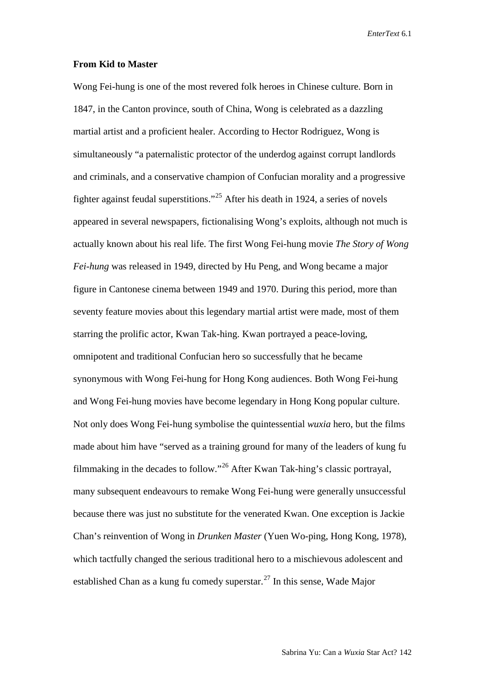#### **From Kid to Master**

Wong Fei-hung is one of the most revered folk heroes in Chinese culture. Born in 1847, in the Canton province, south of China, Wong is celebrated as a dazzling martial artist and a proficient healer. According to Hector Rodriguez, Wong is simultaneously "a paternalistic protector of the underdog against corrupt landlords and criminals, and a conservative champion of Confucian morality and a progressive fighter against feudal superstitions."[25](#page-24-21) After his death in 1924, a series of novels appeared in several newspapers, fictionalising Wong's exploits, although not much is actually known about his real life. The first Wong Fei-hung movie *The Story of Wong Fei-hung* was released in 1949, directed by Hu Peng, and Wong became a major figure in Cantonese cinema between 1949 and 1970. During this period, more than seventy feature movies about this legendary martial artist were made, most of them starring the prolific actor, Kwan Tak-hing. Kwan portrayed a peace-loving, omnipotent and traditional Confucian hero so successfully that he became synonymous with Wong Fei-hung for Hong Kong audiences. Both Wong Fei-hung and Wong Fei-hung movies have become legendary in Hong Kong popular culture. Not only does Wong Fei-hung symbolise the quintessential *wuxia* hero, but the films made about him have "served as a training ground for many of the leaders of kung fu filmmaking in the decades to follow."[26](#page-24-22) After Kwan Tak-hing's classic portrayal, many subsequent endeavours to remake Wong Fei-hung were generally unsuccessful because there was just no substitute for the venerated Kwan. One exception is Jackie Chan's reinvention of Wong in *Drunken Master* (Yuen Wo-ping, Hong Kong, 1978), which tactfully changed the serious traditional hero to a mischievous adolescent and established Chan as a kung fu comedy superstar.<sup>[27](#page-24-23)</sup> In this sense, Wade Major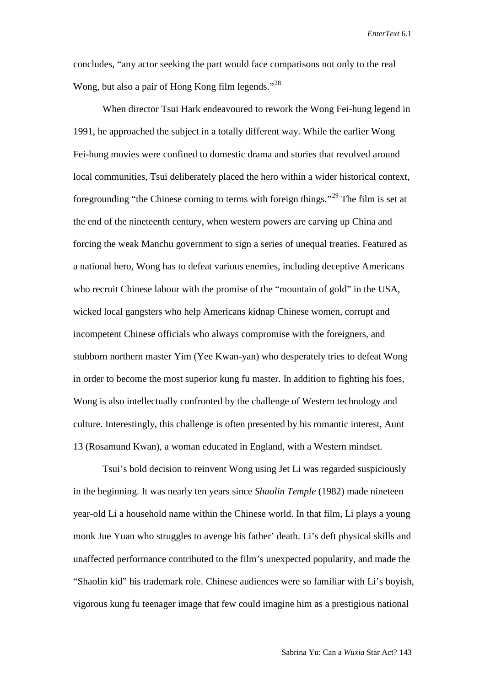concludes, "any actor seeking the part would face comparisons not only to the real Wong, but also a pair of Hong Kong film legends."<sup>[28](#page-24-24)</sup>

When director Tsui Hark endeavoured to rework the Wong Fei-hung legend in 1991, he approached the subject in a totally different way. While the earlier Wong Fei-hung movies were confined to domestic drama and stories that revolved around local communities, Tsui deliberately placed the hero within a wider historical context, foregrounding "the Chinese coming to terms with foreign things."<sup>[29](#page-24-25)</sup> The film is set at the end of the nineteenth century, when western powers are carving up China and forcing the weak Manchu government to sign a series of unequal treaties. Featured as a national hero, Wong has to defeat various enemies, including deceptive Americans who recruit Chinese labour with the promise of the "mountain of gold" in the USA, wicked local gangsters who help Americans kidnap Chinese women, corrupt and incompetent Chinese officials who always compromise with the foreigners, and stubborn northern master Yim (Yee Kwan-yan) who desperately tries to defeat Wong in order to become the most superior kung fu master. In addition to fighting his foes, Wong is also intellectually confronted by the challenge of Western technology and culture. Interestingly, this challenge is often presented by his romantic interest, Aunt 13 (Rosamund Kwan), a woman educated in England, with a Western mindset.

Tsui's bold decision to reinvent Wong using Jet Li was regarded suspiciously in the beginning. It was nearly ten years since *Shaolin Temple* (1982) made nineteen year-old Li a household name within the Chinese world. In that film, Li plays a young monk Jue Yuan who struggles to avenge his father' death. Li's deft physical skills and unaffected performance contributed to the film's unexpected popularity, and made the "Shaolin kid" his trademark role. Chinese audiences were so familiar with Li's boyish, vigorous kung fu teenager image that few could imagine him as a prestigious national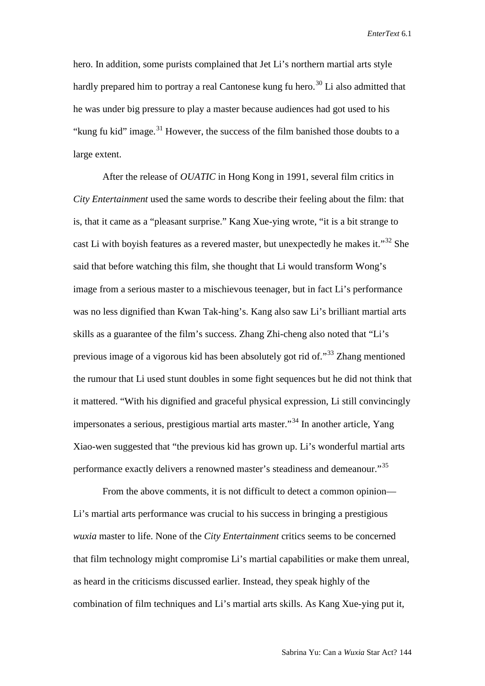hero. In addition, some purists complained that Jet Li's northern martial arts style hardly prepared him to portray a real Cantonese kung fu hero.<sup>[30](#page-24-26)</sup> Li also admitted that he was under big pressure to play a master because audiences had got used to his "kung fu kid" image.<sup>[31](#page-24-27)</sup> However, the success of the film banished those doubts to a large extent.

After the release of *OUATIC* in Hong Kong in 1991, several film critics in *City Entertainment* used the same words to describe their feeling about the film: that is, that it came as a "pleasant surprise." Kang Xue-ying wrote, "it is a bit strange to cast Li with boyish features as a revered master, but unexpectedly he makes it." $32$  She said that before watching this film, she thought that Li would transform Wong's image from a serious master to a mischievous teenager, but in fact Li's performance was no less dignified than Kwan Tak-hing's. Kang also saw Li's brilliant martial arts skills as a guarantee of the film's success. Zhang Zhi-cheng also noted that "Li's previous image of a vigorous kid has been absolutely got rid of."[33](#page-24-29) Zhang mentioned the rumour that Li used stunt doubles in some fight sequences but he did not think that it mattered. "With his dignified and graceful physical expression, Li still convincingly impersonates a serious, prestigious martial arts master.<sup>[34](#page-24-30)</sup> In another article, Yang Xiao-wen suggested that "the previous kid has grown up. Li's wonderful martial arts performance exactly delivers a renowned master's steadiness and demeanour."[35](#page-24-31)

From the above comments, it is not difficult to detect a common opinion— Li's martial arts performance was crucial to his success in bringing a prestigious *wuxia* master to life. None of the *City Entertainment* critics seems to be concerned that film technology might compromise Li's martial capabilities or make them unreal, as heard in the criticisms discussed earlier. Instead, they speak highly of the combination of film techniques and Li's martial arts skills. As Kang Xue-ying put it,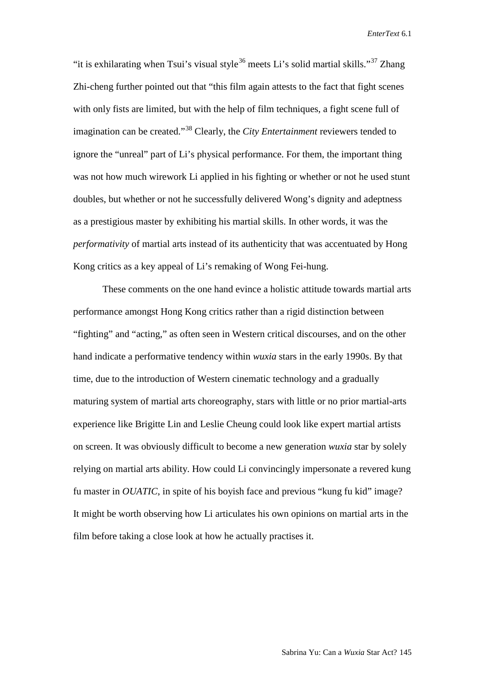"it is exhilarating when Tsui's visual style<sup>[36](#page-24-32)</sup> meets Li's solid martial skills."<sup>[37](#page-24-33)</sup> Zhang Zhi-cheng further pointed out that "this film again attests to the fact that fight scenes with only fists are limited, but with the help of film techniques, a fight scene full of imagination can be created."[38](#page-24-34) Clearly, the *City Entertainment* reviewers tended to ignore the "unreal" part of Li's physical performance. For them, the important thing was not how much wirework Li applied in his fighting or whether or not he used stunt doubles, but whether or not he successfully delivered Wong's dignity and adeptness as a prestigious master by exhibiting his martial skills. In other words, it was the *performativity* of martial arts instead of its authenticity that was accentuated by Hong Kong critics as a key appeal of Li's remaking of Wong Fei-hung.

These comments on the one hand evince a holistic attitude towards martial arts performance amongst Hong Kong critics rather than a rigid distinction between "fighting" and "acting," as often seen in Western critical discourses, and on the other hand indicate a performative tendency within *wuxia* stars in the early 1990s. By that time, due to the introduction of Western cinematic technology and a gradually maturing system of martial arts choreography, stars with little or no prior martial-arts experience like Brigitte Lin and Leslie Cheung could look like expert martial artists on screen. It was obviously difficult to become a new generation *wuxia* star by solely relying on martial arts ability. How could Li convincingly impersonate a revered kung fu master in *OUATIC*, in spite of his boyish face and previous "kung fu kid" image? It might be worth observing how Li articulates his own opinions on martial arts in the film before taking a close look at how he actually practises it.

Sabrina Yu: Can a *Wuxia* Star Act? 145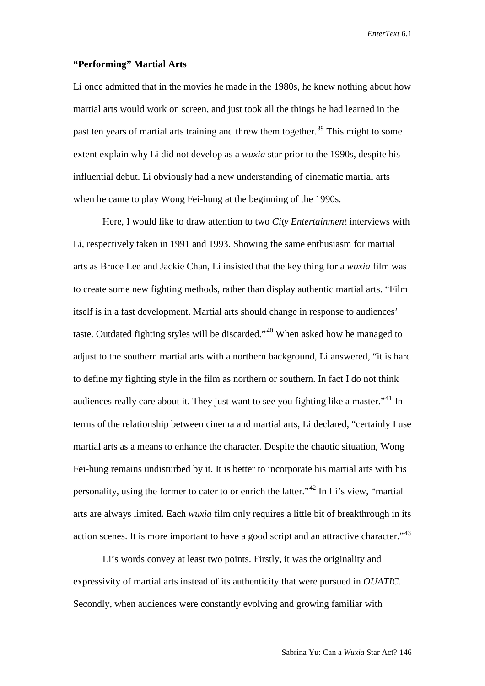#### **"Performing" Martial Arts**

Li once admitted that in the movies he made in the 1980s, he knew nothing about how martial arts would work on screen, and just took all the things he had learned in the past ten years of martial arts training and threw them together.<sup>[39](#page-24-35)</sup> This might to some extent explain why Li did not develop as a *wuxia* star prior to the 1990s, despite his influential debut. Li obviously had a new understanding of cinematic martial arts when he came to play Wong Fei-hung at the beginning of the 1990s.

Here, I would like to draw attention to two *City Entertainment* interviews with Li, respectively taken in 1991 and 1993. Showing the same enthusiasm for martial arts as Bruce Lee and Jackie Chan, Li insisted that the key thing for a *wuxia* film was to create some new fighting methods, rather than display authentic martial arts. "Film itself is in a fast development. Martial arts should change in response to audiences' taste. Outdated fighting styles will be discarded."<sup>[40](#page-24-36)</sup> When asked how he managed to adjust to the southern martial arts with a northern background, Li answered, "it is hard to define my fighting style in the film as northern or southern. In fact I do not think audiences really care about it. They just want to see you fighting like a master."<sup>[41](#page-24-37)</sup> In terms of the relationship between cinema and martial arts, Li declared, "certainly I use martial arts as a means to enhance the character. Despite the chaotic situation, Wong Fei-hung remains undisturbed by it. It is better to incorporate his martial arts with his personality, using the former to cater to or enrich the latter."[42](#page-24-1) In Li's view, "martial arts are always limited. Each *wuxia* film only requires a little bit of breakthrough in its action scenes. It is more important to have a good script and an attractive character."<sup>[43](#page-24-38)</sup>

Li's words convey at least two points. Firstly, it was the originality and expressivity of martial arts instead of its authenticity that were pursued in *OUATIC*. Secondly, when audiences were constantly evolving and growing familiar with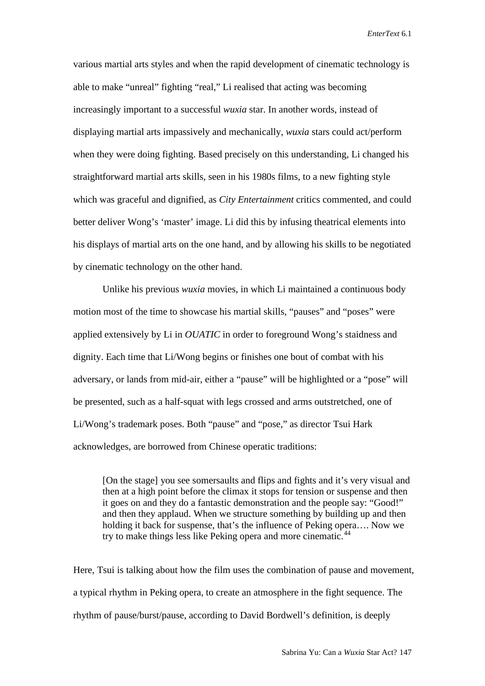various martial arts styles and when the rapid development of cinematic technology is able to make "unreal" fighting "real," Li realised that acting was becoming increasingly important to a successful *wuxia* star. In another words, instead of displaying martial arts impassively and mechanically, *wuxia* stars could act/perform when they were doing fighting. Based precisely on this understanding, Li changed his straightforward martial arts skills, seen in his 1980s films, to a new fighting style which was graceful and dignified, as *City Entertainment* critics commented, and could better deliver Wong's 'master' image. Li did this by infusing theatrical elements into his displays of martial arts on the one hand, and by allowing his skills to be negotiated by cinematic technology on the other hand.

Unlike his previous *wuxia* movies, in which Li maintained a continuous body motion most of the time to showcase his martial skills, "pauses" and "poses" were applied extensively by Li in *OUATIC* in order to foreground Wong's staidness and dignity. Each time that Li/Wong begins or finishes one bout of combat with his adversary, or lands from mid-air, either a "pause" will be highlighted or a "pose" will be presented, such as a half-squat with legs crossed and arms outstretched, one of Li/Wong's trademark poses. Both "pause" and "pose," as director Tsui Hark acknowledges, are borrowed from Chinese operatic traditions:

[On the stage] you see somersaults and flips and fights and it's very visual and then at a high point before the climax it stops for tension or suspense and then it goes on and they do a fantastic demonstration and the people say: "Good!" and then they applaud. When we structure something by building up and then holding it back for suspense, that's the influence of Peking opera…. Now we try to make things less like Peking opera and more cinematic.<sup>[44](#page-24-39)</sup>

Here, Tsui is talking about how the film uses the combination of pause and movement, a typical rhythm in Peking opera, to create an atmosphere in the fight sequence. The rhythm of pause/burst/pause, according to David Bordwell's definition, is deeply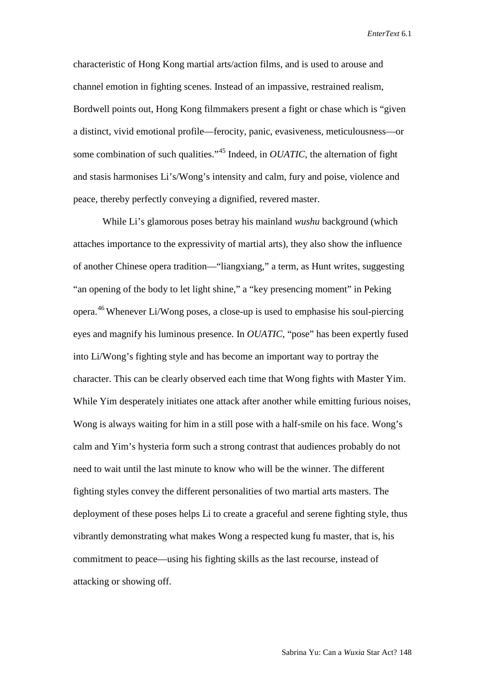characteristic of Hong Kong martial arts/action films, and is used to arouse and channel emotion in fighting scenes. Instead of an impassive, restrained realism, Bordwell points out, Hong Kong filmmakers present a fight or chase which is "given a distinct, vivid emotional profile—ferocity, panic, evasiveness, meticulousness—or some combination of such qualities."[45](#page-24-40) Indeed, in *OUATIC*, the alternation of fight and stasis harmonises Li's/Wong's intensity and calm, fury and poise, violence and peace, thereby perfectly conveying a dignified, revered master.

While Li's glamorous poses betray his mainland *wushu* background (which attaches importance to the expressivity of martial arts), they also show the influence of another Chinese opera tradition—"liangxiang," a term, as Hunt writes, suggesting "an opening of the body to let light shine," a "key presencing moment" in Peking opera.[46](#page-24-41) Whenever Li/Wong poses, a close-up is used to emphasise his soul-piercing eyes and magnify his luminous presence. In *OUATIC*, "pose" has been expertly fused into Li/Wong's fighting style and has become an important way to portray the character. This can be clearly observed each time that Wong fights with Master Yim. While Yim desperately initiates one attack after another while emitting furious noises, Wong is always waiting for him in a still pose with a half-smile on his face. Wong's calm and Yim's hysteria form such a strong contrast that audiences probably do not need to wait until the last minute to know who will be the winner. The different fighting styles convey the different personalities of two martial arts masters. The deployment of these poses helps Li to create a graceful and serene fighting style, thus vibrantly demonstrating what makes Wong a respected kung fu master, that is, his commitment to peace—using his fighting skills as the last recourse, instead of attacking or showing off.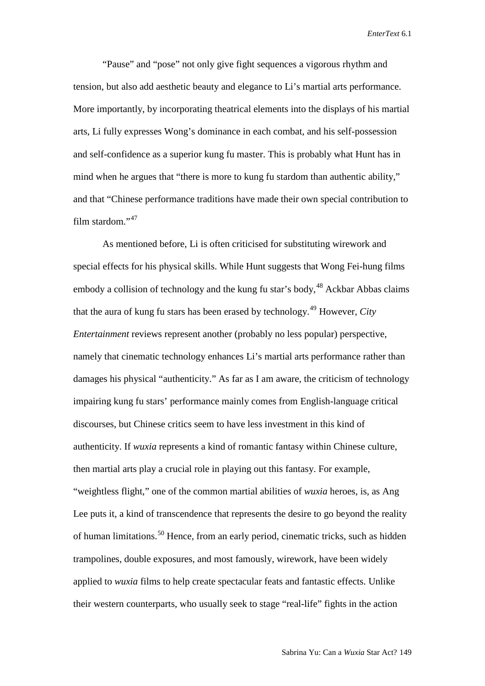"Pause" and "pose" not only give fight sequences a vigorous rhythm and tension, but also add aesthetic beauty and elegance to Li's martial arts performance. More importantly, by incorporating theatrical elements into the displays of his martial arts, Li fully expresses Wong's dominance in each combat, and his self-possession and self-confidence as a superior kung fu master. This is probably what Hunt has in mind when he argues that "there is more to kung fu stardom than authentic ability," and that "Chinese performance traditions have made their own special contribution to film stardom."[47](#page-24-42)

As mentioned before, Li is often criticised for substituting wirework and special effects for his physical skills. While Hunt suggests that Wong Fei-hung films embody a collision of technology and the kung fu star's body,<sup>[48](#page-24-43)</sup> Ackbar Abbas claims that the aura of kung fu stars has been erased by technology.[49](#page-24-44) However, *City Entertainment* reviews represent another (probably no less popular) perspective, namely that cinematic technology enhances Li's martial arts performance rather than damages his physical "authenticity." As far as I am aware, the criticism of technology impairing kung fu stars' performance mainly comes from English-language critical discourses, but Chinese critics seem to have less investment in this kind of authenticity. If *wuxia* represents a kind of romantic fantasy within Chinese culture, then martial arts play a crucial role in playing out this fantasy. For example, "weightless flight," one of the common martial abilities of *wuxia* heroes, is, as Ang Lee puts it, a kind of transcendence that represents the desire to go beyond the reality of human limitations.[50](#page-24-45) Hence, from an early period, cinematic tricks, such as hidden trampolines, double exposures, and most famously, wirework, have been widely applied to *wuxia* films to help create spectacular feats and fantastic effects. Unlike their western counterparts, who usually seek to stage "real-life" fights in the action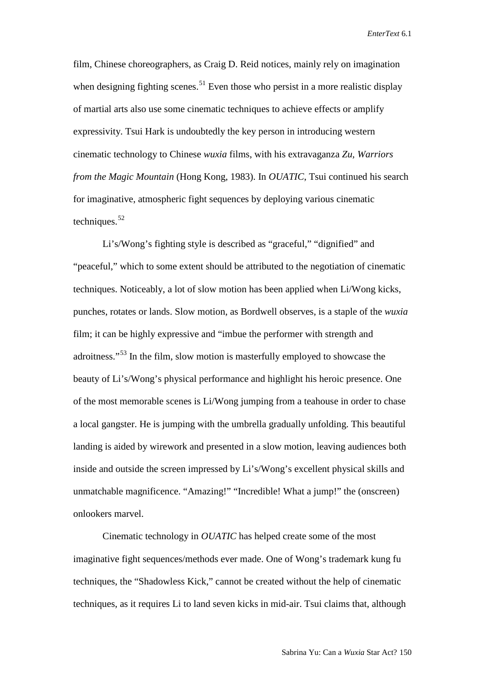film, Chinese choreographers, as Craig D. Reid notices, mainly rely on imagination when designing fighting scenes.<sup>[51](#page-24-46)</sup> Even those who persist in a more realistic display of martial arts also use some cinematic techniques to achieve effects or amplify expressivity. Tsui Hark is undoubtedly the key person in introducing western cinematic technology to Chinese *wuxia* films, with his extravaganza *Zu, Warriors from the Magic Mountain* (Hong Kong, 1983). In *OUATIC*, Tsui continued his search for imaginative, atmospheric fight sequences by deploying various cinematic techniques. $52$ 

Li's/Wong's fighting style is described as "graceful," "dignified" and "peaceful," which to some extent should be attributed to the negotiation of cinematic techniques. Noticeably, a lot of slow motion has been applied when Li/Wong kicks, punches, rotates or lands. Slow motion, as Bordwell observes, is a staple of the *wuxia* film; it can be highly expressive and "imbue the performer with strength and adroitness."[53](#page-24-48) In the film, slow motion is masterfully employed to showcase the beauty of Li's/Wong's physical performance and highlight his heroic presence. One of the most memorable scenes is Li/Wong jumping from a teahouse in order to chase a local gangster. He is jumping with the umbrella gradually unfolding. This beautiful landing is aided by wirework and presented in a slow motion, leaving audiences both inside and outside the screen impressed by Li's/Wong's excellent physical skills and unmatchable magnificence. "Amazing!" "Incredible! What a jump!" the (onscreen) onlookers marvel.

Cinematic technology in *OUATIC* has helped create some of the most imaginative fight sequences/methods ever made. One of Wong's trademark kung fu techniques, the "Shadowless Kick," cannot be created without the help of cinematic techniques, as it requires Li to land seven kicks in mid-air. Tsui claims that, although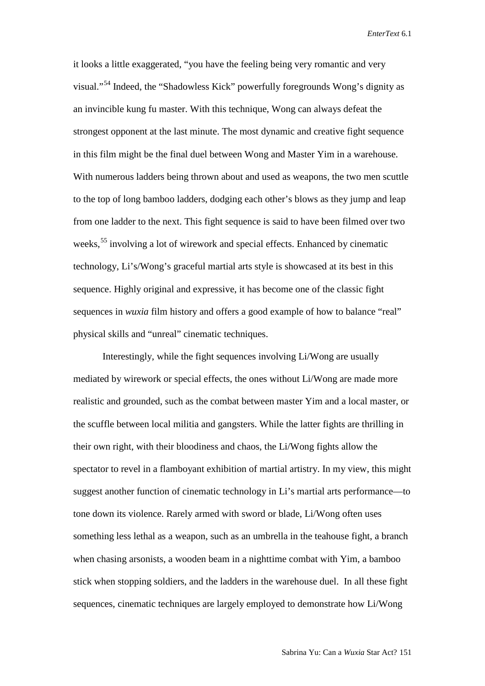it looks a little exaggerated, "you have the feeling being very romantic and very visual."[54](#page-24-49) Indeed, the "Shadowless Kick" powerfully foregrounds Wong's dignity as an invincible kung fu master. With this technique, Wong can always defeat the strongest opponent at the last minute. The most dynamic and creative fight sequence in this film might be the final duel between Wong and Master Yim in a warehouse. With numerous ladders being thrown about and used as weapons, the two men scuttle to the top of long bamboo ladders, dodging each other's blows as they jump and leap from one ladder to the next. This fight sequence is said to have been filmed over two weeks,<sup>[55](#page-24-50)</sup> involving a lot of wirework and special effects. Enhanced by cinematic technology, Li's/Wong's graceful martial arts style is showcased at its best in this sequence. Highly original and expressive, it has become one of the classic fight sequences in *wuxia* film history and offers a good example of how to balance "real" physical skills and "unreal" cinematic techniques.

Interestingly, while the fight sequences involving Li/Wong are usually mediated by wirework or special effects, the ones without Li/Wong are made more realistic and grounded, such as the combat between master Yim and a local master, or the scuffle between local militia and gangsters. While the latter fights are thrilling in their own right, with their bloodiness and chaos, the Li/Wong fights allow the spectator to revel in a flamboyant exhibition of martial artistry. In my view, this might suggest another function of cinematic technology in Li's martial arts performance—to tone down its violence. Rarely armed with sword or blade, Li/Wong often uses something less lethal as a weapon, such as an umbrella in the teahouse fight, a branch when chasing arsonists, a wooden beam in a nighttime combat with Yim, a bamboo stick when stopping soldiers, and the ladders in the warehouse duel. In all these fight sequences, cinematic techniques are largely employed to demonstrate how Li/Wong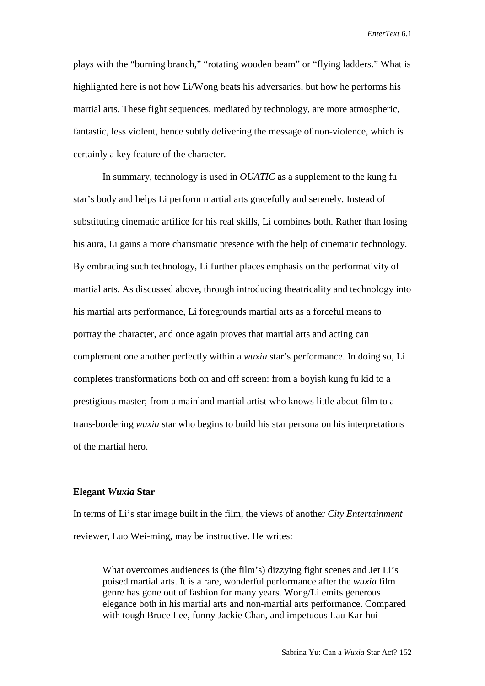plays with the "burning branch," "rotating wooden beam" or "flying ladders." What is highlighted here is not how Li/Wong beats his adversaries, but how he performs his martial arts. These fight sequences, mediated by technology, are more atmospheric, fantastic, less violent, hence subtly delivering the message of non-violence, which is certainly a key feature of the character.

In summary, technology is used in *OUATIC* as a supplement to the kung fu star's body and helps Li perform martial arts gracefully and serenely. Instead of substituting cinematic artifice for his real skills, Li combines both. Rather than losing his aura, Li gains a more charismatic presence with the help of cinematic technology. By embracing such technology, Li further places emphasis on the performativity of martial arts. As discussed above, through introducing theatricality and technology into his martial arts performance, Li foregrounds martial arts as a forceful means to portray the character, and once again proves that martial arts and acting can complement one another perfectly within a *wuxia* star's performance. In doing so, Li completes transformations both on and off screen: from a boyish kung fu kid to a prestigious master; from a mainland martial artist who knows little about film to a trans-bordering *wuxia* star who begins to build his star persona on his interpretations of the martial hero.

#### **Elegant** *Wuxia* **Star**

In terms of Li's star image built in the film, the views of another *City Entertainment* reviewer, Luo Wei-ming, may be instructive. He writes:

What overcomes audiences is (the film's) dizzying fight scenes and Jet Li's poised martial arts. It is a rare, wonderful performance after the *wuxia* film genre has gone out of fashion for many years. Wong/Li emits generous elegance both in his martial arts and non-martial arts performance. Compared with tough Bruce Lee, funny Jackie Chan, and impetuous Lau Kar-hui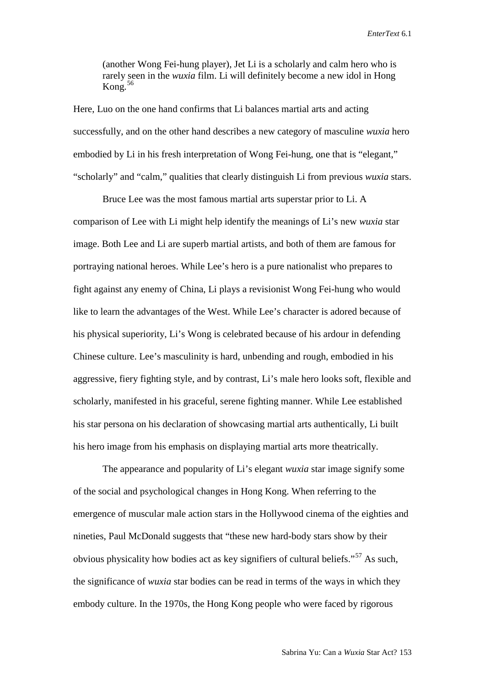(another Wong Fei-hung player), Jet Li is a scholarly and calm hero who is rarely seen in the *wuxia* film. Li will definitely become a new idol in Hong Kong. $56$ 

Here, Luo on the one hand confirms that Li balances martial arts and acting successfully, and on the other hand describes a new category of masculine *wuxia* hero embodied by Li in his fresh interpretation of Wong Fei-hung, one that is "elegant," "scholarly" and "calm," qualities that clearly distinguish Li from previous *wuxia* stars.

Bruce Lee was the most famous martial arts superstar prior to Li. A comparison of Lee with Li might help identify the meanings of Li's new *wuxia* star image. Both Lee and Li are superb martial artists, and both of them are famous for portraying national heroes. While Lee's hero is a pure nationalist who prepares to fight against any enemy of China, Li plays a revisionist Wong Fei-hung who would like to learn the advantages of the West. While Lee's character is adored because of his physical superiority, Li's Wong is celebrated because of his ardour in defending Chinese culture. Lee's masculinity is hard, unbending and rough, embodied in his aggressive, fiery fighting style, and by contrast, Li's male hero looks soft, flexible and scholarly, manifested in his graceful, serene fighting manner. While Lee established his star persona on his declaration of showcasing martial arts authentically, Li built his hero image from his emphasis on displaying martial arts more theatrically.

The appearance and popularity of Li's elegant *wuxia* star image signify some of the social and psychological changes in Hong Kong. When referring to the emergence of muscular male action stars in the Hollywood cinema of the eighties and nineties, Paul McDonald suggests that "these new hard-body stars show by their obvious physicality how bodies act as key signifiers of cultural beliefs."[57](#page-24-52) As such, the significance of *wuxia* star bodies can be read in terms of the ways in which they embody culture. In the 1970s, the Hong Kong people who were faced by rigorous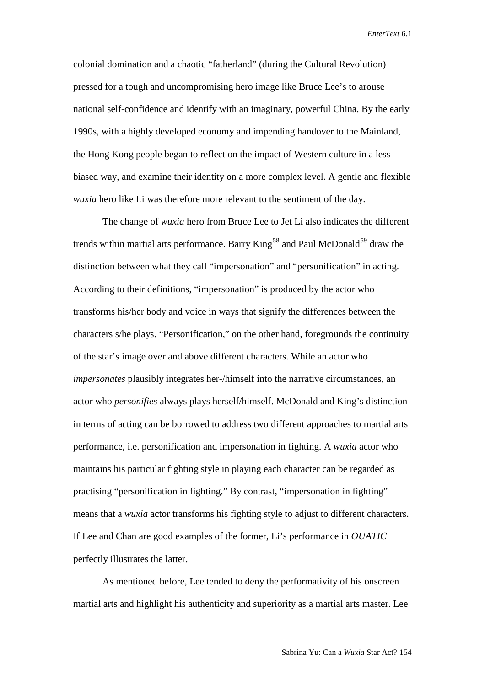colonial domination and a chaotic "fatherland" (during the Cultural Revolution) pressed for a tough and uncompromising hero image like Bruce Lee's to arouse national self-confidence and identify with an imaginary, powerful China. By the early 1990s, with a highly developed economy and impending handover to the Mainland, the Hong Kong people began to reflect on the impact of Western culture in a less biased way, and examine their identity on a more complex level. A gentle and flexible *wuxia* hero like Li was therefore more relevant to the sentiment of the day.

The change of *wuxia* hero from Bruce Lee to Jet Li also indicates the different trends within martial arts performance. Barry King<sup>[58](#page-24-53)</sup> and Paul McDonald<sup>[59](#page-24-54)</sup> draw the distinction between what they call "impersonation" and "personification" in acting. According to their definitions, "impersonation" is produced by the actor who transforms his/her body and voice in ways that signify the differences between the characters s/he plays. "Personification," on the other hand, foregrounds the continuity of the star's image over and above different characters. While an actor who *impersonates* plausibly integrates her-/himself into the narrative circumstances, an actor who *personifies* always plays herself/himself. McDonald and King's distinction in terms of acting can be borrowed to address two different approaches to martial arts performance, i.e. personification and impersonation in fighting. A *wuxia* actor who maintains his particular fighting style in playing each character can be regarded as practising "personification in fighting." By contrast, "impersonation in fighting" means that a *wuxia* actor transforms his fighting style to adjust to different characters. If Lee and Chan are good examples of the former, Li's performance in *OUATIC* perfectly illustrates the latter.

As mentioned before, Lee tended to deny the performativity of his onscreen martial arts and highlight his authenticity and superiority as a martial arts master. Lee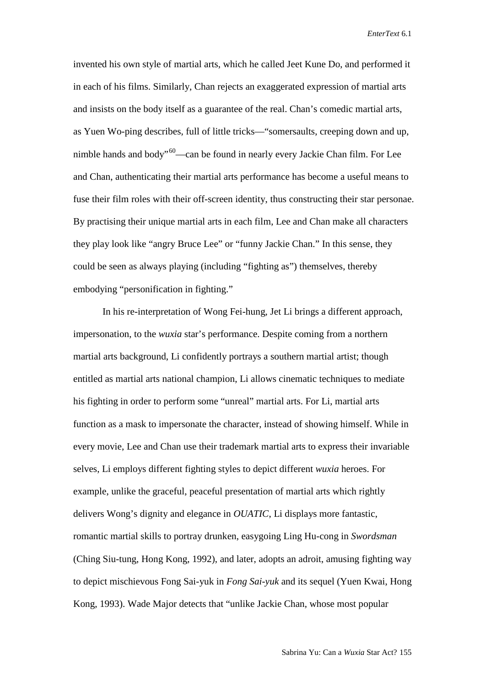invented his own style of martial arts, which he called Jeet Kune Do, and performed it in each of his films. Similarly, Chan rejects an exaggerated expression of martial arts and insists on the body itself as a guarantee of the real. Chan's comedic martial arts, as Yuen Wo-ping describes, full of little tricks—"somersaults, creeping down and up, nimble hands and body"<sup>60</sup>—can be found in nearly every Jackie Chan film. For Lee and Chan, authenticating their martial arts performance has become a useful means to fuse their film roles with their off-screen identity, thus constructing their star personae. By practising their unique martial arts in each film, Lee and Chan make all characters they play look like "angry Bruce Lee" or "funny Jackie Chan." In this sense, they could be seen as always playing (including "fighting as") themselves, thereby embodying "personification in fighting."

In his re-interpretation of Wong Fei-hung, Jet Li brings a different approach, impersonation, to the *wuxia* star's performance. Despite coming from a northern martial arts background, Li confidently portrays a southern martial artist; though entitled as martial arts national champion, Li allows cinematic techniques to mediate his fighting in order to perform some "unreal" martial arts. For Li, martial arts function as a mask to impersonate the character, instead of showing himself. While in every movie, Lee and Chan use their trademark martial arts to express their invariable selves, Li employs different fighting styles to depict different *wuxia* heroes. For example, unlike the graceful, peaceful presentation of martial arts which rightly delivers Wong's dignity and elegance in *OUATIC*, Li displays more fantastic, romantic martial skills to portray drunken, easygoing Ling Hu-cong in *Swordsman* (Ching Siu-tung, Hong Kong, 1992), and later, adopts an adroit, amusing fighting way to depict mischievous Fong Sai-yuk in *Fong Sai-yuk* and its sequel (Yuen Kwai, Hong Kong, 1993). Wade Major detects that "unlike Jackie Chan, whose most popular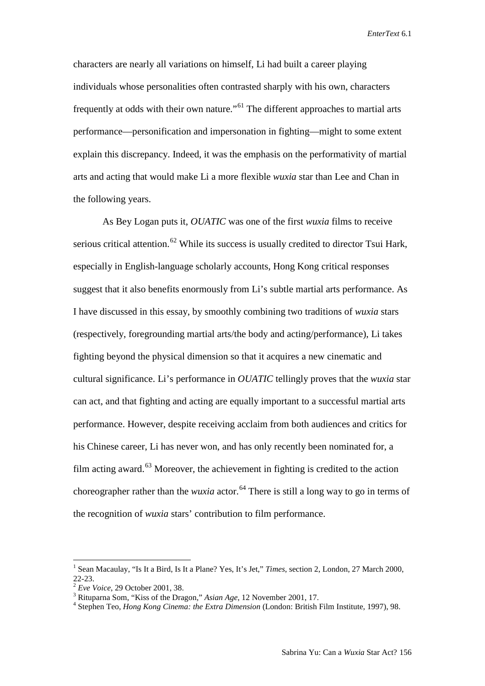characters are nearly all variations on himself, Li had built a career playing individuals whose personalities often contrasted sharply with his own, characters frequently at odds with their own nature."[61](#page-24-56) The different approaches to martial arts performance—personification and impersonation in fighting—might to some extent explain this discrepancy. Indeed, it was the emphasis on the performativity of martial arts and acting that would make Li a more flexible *wuxia* star than Lee and Chan in the following years.

As Bey Logan puts it, *OUATIC* was one of the first *wuxia* films to receive serious critical attention.<sup>[62](#page-24-57)</sup> While its success is usually credited to director Tsui Hark, especially in English-language scholarly accounts, Hong Kong critical responses suggest that it also benefits enormously from Li's subtle martial arts performance. As I have discussed in this essay, by smoothly combining two traditions of *wuxia* stars (respectively, foregrounding martial arts/the body and acting/performance), Li takes fighting beyond the physical dimension so that it acquires a new cinematic and cultural significance. Li's performance in *OUATIC* tellingly proves that the *wuxia* star can act, and that fighting and acting are equally important to a successful martial arts performance. However, despite receiving acclaim from both audiences and critics for his Chinese career, Li has never won, and has only recently been nominated for, a film acting award. $^{63}$  $^{63}$  $^{63}$  Moreover, the achievement in fighting is credited to the action choreographer rather than the *wuxia* actor.<sup>[64](#page-24-59)</sup> There is still a long way to go in terms of the recognition of *wuxia* stars' contribution to film performance.

 <sup>1</sup> Sean Macaulay, "Is It a Bird, Is It a Plane? Yes, It's Jet," *Times*, section 2, London, <sup>27</sup> March 2000, 22-23.<br><sup>2</sup> Eve Voice, 29 October 2001, 38.<br><sup>3</sup> Rituparna Som, "Kiss of the Dragon," Asian Age, 12 November 2001, 17.<br><sup>4</sup> Stephen Teo, *Hong Kong Cinema: the Extra Dimension* (London: British Film Institute, 1997), 98.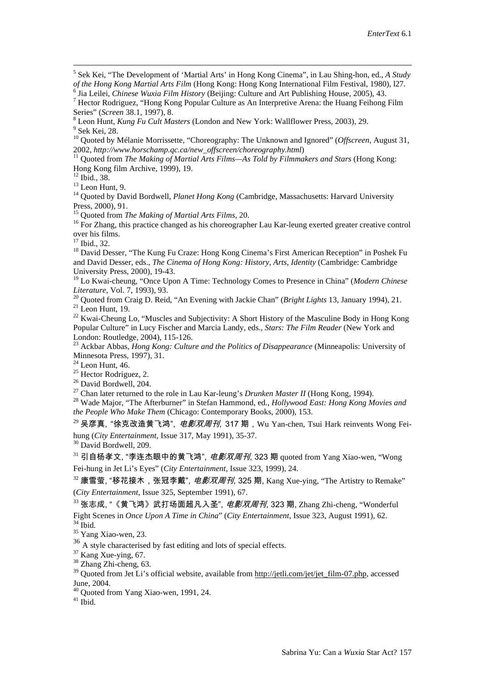<sup>5</sup> Sek Kei, "The Development of 'Martial Arts' in Hong Kong Cinema", in Lau Shing-hon, ed., *A Study of the Hong Kong Martial Arts Film* (Hong Kong: Hong Kong International Film Festival, 1980), 127.

<sup>6</sup> Jia Leilei, *Chinese Wuxia Film History* (Beijing: Culture and Art Publishing House, 2005), 43.<br><sup>7</sup> Hector Rodriguez, "Hong Kong Popular Culture as An Interpretive Arena: the Huang Feihong Film Series" (*Screen* 38.1,

<sup>8</sup> Leon Hunt, *Kung Fu Cult Masters* (London and New York: Wallflower Press, 2003), 29.<br><sup>9</sup> Sek Kei, 28.<br><sup>10</sup> Quoted by Mélanie Morrissette, "Choreography: The Unknown and Ignored" (*Offscreen*, August 31,

2002, *http://www.horschamp.qc.ca/new\_offscreen/choreography.html*)<br><sup>11</sup> Quoted from *The Making of Martial Arts Films—As Told by Filmmakers and Stars* (Hong Kong:<br>Hong Kong film Archive, 1999), 19.

<sup>12</sup> Ibid., 38.<br><sup>13</sup> Leon Hunt, 9.<br><sup>14</sup> Quoted by David Bordwell, *Planet Hong Kong* (Cambridge, Massachusetts: Harvard University<br>Press, 2000), 91.<br><sup>15</sup> Quoted from *The Making of Martial Arts Films*, 20.

<sup>16</sup> For Zhang, this practice changed as his choreographer Lau Kar-leung exerted greater creative control over his films.<br> $^{17}$  Ibid., 32.

<sup>18</sup> David Desser, "The Kung Fu Craze: Hong Kong Cinema's First American Reception" in Poshek Fu and David Desser, eds., *The Cinema of Hong Kong: History, Arts, Identity* (Cambridge: Cambridge University Press, 2000), 19-43.

<sup>19</sup> Lo Kwai-cheung, "Once Upon A Time: Technology Comes to Presence in China" (*Modern Chinese* 

20 Quoted from Craig D. Reid, "An Evening with Jackie Chan" (*Bright Lights* 13, January 1994), 21.<br>
<sup>21</sup> Leon Hunt, 19.<br>
<sup>22</sup> Kwai-Cheung Lo, "Muscles and Subjectivity: A Short History of the Masculine Body in Hong Kong

Popular Culture" in Lucy Fischer and Marcia Landy, eds., *Stars: The Film Reader* (New York and

<sup>23</sup> Ackbar Abbas, *Hong Kong: Culture and the Politics of Disappearance* (Minneapolis: University of Minnesota Press, 1997), 31.

<sup>24</sup> Leon Hunt, 46.<br>
<sup>25</sup> Hector Rodriguez, 2.<br>
<sup>26</sup> David Bordwell, 204.<br>
<sup>27</sup> Chan later returned to the role in Lau Kar-leung's *Drunken Master II* (Hong Kong, 1994).<br>
<sup>28</sup> Wade Major, "The Afterburner" in Stefan Hammo *the People Who Make Them* (Chicago: Contemporary Books, 2000), 153.

 $^{29}$  吴彦真, "徐克改造黄飞鸿",  $e\neq\mathcal{X}/\mathcal{B}$ 刊, 317 期, Wu Yan-chen, Tsui Hark reinvents Wong Feihung (*City Entertainment*, Issue 317, May 1991), 35-37. <sup>30</sup> David Bordwell, 209.

 $31$  引自杨孝文, "李连杰眼中的黄飞鸿", *电影双周刊*, 323 期 quoted from Yang Xiao-wen, "Wong Fei-hung in Jet Li's Eyes" (*City Entertainment*, Issue 323, 1999), 24.

 $32$  康雪萤, "移花接木,张冠李戴",  $e$ *影双周刊*, 325 期, Kang Xue-ying, "The Artistry to Remake" (*City Entertainment*, Issue 325, September 1991), 67.

 $33$  张志成, "《黄飞鸿》武打场面超凡入圣", *电影双周刊*, 323 期, Zhang Zhi-cheng, "Wonderful Fight Scenes in *Once Upon A Time in China*" (*City Entertainment*, Issue 323, August 1991), 62. <sup>34</sup> Ibid. <sup>35</sup> Yang Xiao-wen, 23.

 $^{36}$  A style characterised by fast editing and lots of special effects.<br><sup>37</sup> Kang Xue-ying, 67.

<span id="page-23-0"></span><sup>38</sup> Zhang Zhi-cheng, 63. <sup>39</sup> Quoted from Jet Li's official website, available from <u>http://jetli.com/jet/jet\_film-07.php</u>, accessed June, 2004.

<span id="page-23-2"></span><span id="page-23-1"></span> $^{40}$  Quoted from Yang Xiao-wen, 1991, 24.  $^{41}$  Ibid